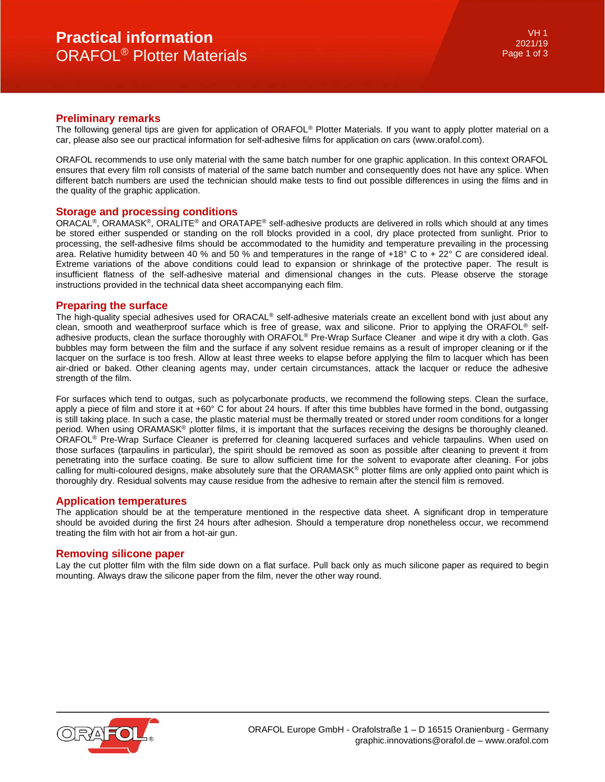## **Preliminary remarks**

The following general tips are given for application of ORAFOL<sup>®</sup> Plotter Materials. If you want to apply plotter material on a car, please also see our practical information for self-adhesive films for application on cars (www.orafol.com).

ORAFOL recommends to use only material with the same batch number for one graphic application. In this context ORAFOL ensures that every film roll consists of material of the same batch number and consequently does not have any splice. When different batch numbers are used the technician should make tests to find out possible differences in using the films and in the quality of the graphic application.

### **Storage and processing conditions**

ORACAL®, ORAMASK®, ORALITE® and ORATAPE® self-adhesive products are delivered in rolls which should at any times be stored either suspended or standing on the roll blocks provided in a cool, dry place protected from sunlight. Prior to processing, the self-adhesive films should be accommodated to the humidity and temperature prevailing in the processing area. Relative humidity between 40 % and 50 % and temperatures in the range of +18° C to + 22° C are considered ideal. Extreme variations of the above conditions could lead to expansion or shrinkage of the protective paper. The result is insufficient flatness of the self-adhesive material and dimensional changes in the cuts. Please observe the storage instructions provided in the technical data sheet accompanying each film.

### **Preparing the surface**

The high-quality special adhesives used for ORACAL<sup>®</sup> self-adhesive materials create an excellent bond with just about any clean, smooth and weatherproof surface which is free of grease, wax and silicone. Prior to applying the ORAFOL® selfadhesive products, clean the surface thoroughly with ORAFOL® Pre-Wrap Surface Cleaner and wipe it dry with a cloth. Gas bubbles may form between the film and the surface if any solvent residue remains as a result of improper cleaning or if the lacquer on the surface is too fresh. Allow at least three weeks to elapse before applying the film to lacquer which has been air-dried or baked. Other cleaning agents may, under certain circumstances, attack the lacquer or reduce the adhesive strength of the film.

For surfaces which tend to outgas, such as polycarbonate products, we recommend the following steps. Clean the surface, apply a piece of film and store it at +60° C for about 24 hours. If after this time bubbles have formed in the bond, outgassing is still taking place. In such a case, the plastic material must be thermally treated or stored under room conditions for a longer period. When using ORAMASK® plotter films, it is important that the surfaces receiving the designs be thoroughly cleaned. ORAFOL® Pre-Wrap Surface Cleaner is preferred for cleaning lacquered surfaces and vehicle tarpaulins. When used on those surfaces (tarpaulins in particular), the spirit should be removed as soon as possible after cleaning to prevent it from penetrating into the surface coating. Be sure to allow sufficient time for the solvent to evaporate after cleaning. For jobs calling for multi-coloured designs, make absolutely sure that the ORAMASK® plotter films are only applied onto paint which is thoroughly dry. Residual solvents may cause residue from the adhesive to remain after the stencil film is removed.

#### **Application temperatures**

The application should be at the temperature mentioned in the respective data sheet. A significant drop in temperature should be avoided during the first 24 hours after adhesion. Should a temperature drop nonetheless occur, we recommend treating the film with hot air from a hot-air gun.

## **Removing silicone paper**

Lay the cut plotter film with the film side down on a flat surface. Pull back only as much silicone paper as required to begin mounting. Always draw the silicone paper from the film, never the other way round.

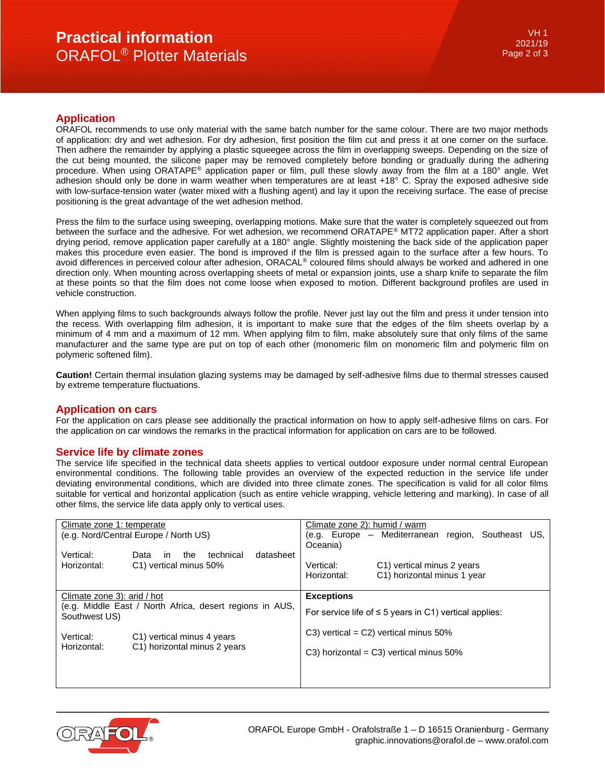# **Practical information** ORAFOL® Plotter Materials

# **Application**

ORAFOL recommends to use only material with the same batch number for the same colour. There are two major methods of application: dry and wet adhesion. For dry adhesion, first position the film cut and press it at one corner on the surface. Then adhere the remainder by applying a plastic squeegee across the film in overlapping sweeps. Depending on the size of the cut being mounted, the silicone paper may be removed completely before bonding or gradually during the adhering procedure. When using ORATAPE® application paper or film, pull these slowly away from the film at a 180° angle. Wet adhesion should only be done in warm weather when temperatures are at least +18° C. Spray the exposed adhesive side with low-surface-tension water (water mixed with a flushing agent) and lay it upon the receiving surface. The ease of precise positioning is the great advantage of the wet adhesion method.

Press the film to the surface using sweeping, overlapping motions. Make sure that the water is completely squeezed out from between the surface and the adhesive. For wet adhesion, we recommend ORATAPE® MT72 application paper. After a short drying period, remove application paper carefully at a 180° angle. Slightly moistening the back side of the application paper makes this procedure even easier. The bond is improved if the film is pressed again to the surface after a few hours. To avoid differences in perceived colour after adhesion, ORACAL® coloured films should always be worked and adhered in one direction only. When mounting across overlapping sheets of metal or expansion joints, use a sharp knife to separate the film at these points so that the film does not come loose when exposed to motion. Different background profiles are used in vehicle construction.

When applying films to such backgrounds always follow the profile. Never just lay out the film and press it under tension into the recess. With overlapping film adhesion, it is important to make sure that the edges of the film sheets overlap by a minimum of 4 mm and a maximum of 12 mm. When applying film to film, make absolutely sure that only films of the same manufacturer and the same type are put on top of each other (monomeric film on monomeric film and polymeric film on polymeric softened film).

**Caution!** Certain thermal insulation glazing systems may be damaged by self-adhesive films due to thermal stresses caused by extreme temperature fluctuations.

# **Application on cars**

For the application on cars please see additionally the practical information on how to apply self-adhesive films on cars. For the application on car windows the remarks in the practical information for application on cars are to be followed.

## **Service life by climate zones**

The service life specified in the technical data sheets applies to vertical outdoor exposure under normal central European environmental conditions. The following table provides an overview of the expected reduction in the service life under deviating environmental conditions, which are divided into three climate zones. The specification is valid for all color films suitable for vertical and horizontal application (such as entire vehicle wrapping, vehicle lettering and marking). In case of all other films, the service life data apply only to vertical uses.

| Climate zone 1: temperate<br>(e.g. Nord/Central Europe / North US)                                       |                                                                        | Climate zone 2): humid / warm<br>(e.g. Europe – Mediterranean region, Southeast US,<br>Oceania) |                                                           |  |  |  |
|----------------------------------------------------------------------------------------------------------|------------------------------------------------------------------------|-------------------------------------------------------------------------------------------------|-----------------------------------------------------------|--|--|--|
| Vertical:<br>Horizontal:                                                                                 | datasheet<br>technical<br>the<br>Data<br>in.<br>C1) vertical minus 50% | Vertical:<br>Horizontal:                                                                        | C1) vertical minus 2 years<br>C1) horizontal minus 1 year |  |  |  |
| Climate zone 3): arid / hot<br>(e.g. Middle East / North Africa, desert regions in AUS,<br>Southwest US) |                                                                        | <b>Exceptions</b><br>For service life of $\leq 5$ years in C1) vertical applies:                |                                                           |  |  |  |
| Vertical:<br>Horizontal:                                                                                 | C1) vertical minus 4 years<br>C1) horizontal minus 2 years             | C3) vertical = C2) vertical minus $50\%$<br>C3) horizontal = C3) vertical minus $50\%$          |                                                           |  |  |  |
|                                                                                                          |                                                                        |                                                                                                 |                                                           |  |  |  |